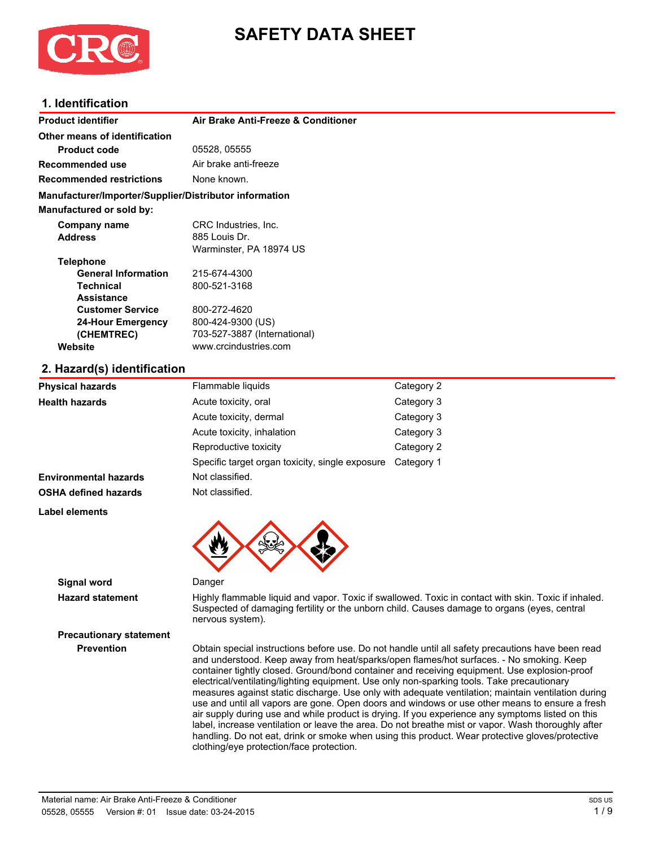

# **SAFETY DATA SHEET**

#### **1. Identification**

| <b>Product identifier</b>                              | Air Brake Anti-Freeze & Conditioner |
|--------------------------------------------------------|-------------------------------------|
| Other means of identification                          |                                     |
| <b>Product code</b>                                    | 05528, 05555                        |
| Recommended use                                        | Air brake anti-freeze               |
| <b>Recommended restrictions</b>                        | None known.                         |
| Manufacturer/Importer/Supplier/Distributor information |                                     |
| <b>Manufactured or sold by:</b>                        |                                     |
| Company name                                           | CRC Industries, Inc.                |
| <b>Address</b>                                         | 885 Louis Dr.                       |
|                                                        | Warminster, PA 18974 US             |
| <b>Telephone</b>                                       |                                     |
| <b>General Information</b>                             | 215-674-4300                        |
| <b>Technical</b>                                       | 800-521-3168                        |
| <b>Assistance</b>                                      |                                     |
| <b>Customer Service</b>                                | 800-272-4620                        |
| 24-Hour Emergency                                      | 800-424-9300 (US)                   |
| (CHEMTREC)                                             | 703-527-3887 (International)        |
| Website                                                | www.crcindustries.com               |
| 2. Hazard(s) identification                            |                                     |

| <b>Physical hazards</b>      | Flammable liquids                               | Category 2 |
|------------------------------|-------------------------------------------------|------------|
| <b>Health hazards</b>        | Acute toxicity, oral                            | Category 3 |
|                              | Acute toxicity, dermal                          | Category 3 |
|                              | Acute toxicity, inhalation                      | Category 3 |
|                              | Reproductive toxicity                           | Category 2 |
|                              | Specific target organ toxicity, single exposure | Category 1 |
| <b>Environmental hazards</b> | Not classified.                                 |            |
| <b>OSHA defined hazards</b>  | Not classified.                                 |            |
| Label elements               |                                                 |            |
|                              |                                                 |            |

**Signal word** Danger

**Precautionary statement**

**Hazard statement** Highly flammable liquid and vapor. Toxic if swallowed. Toxic in contact with skin. Toxic if inhaled. Suspected of damaging fertility or the unborn child. Causes damage to organs (eyes, central nervous system).

**Prevention** Obtain special instructions before use. Do not handle until all safety precautions have been read and understood. Keep away from heat/sparks/open flames/hot surfaces. - No smoking. Keep container tightly closed. Ground/bond container and receiving equipment. Use explosion-proof electrical/ventilating/lighting equipment. Use only non-sparking tools. Take precautionary measures against static discharge. Use only with adequate ventilation; maintain ventilation during use and until all vapors are gone. Open doors and windows or use other means to ensure a fresh air supply during use and while product is drying. If you experience any symptoms listed on this label, increase ventilation or leave the area. Do not breathe mist or vapor. Wash thoroughly after handling. Do not eat, drink or smoke when using this product. Wear protective gloves/protective clothing/eye protection/face protection.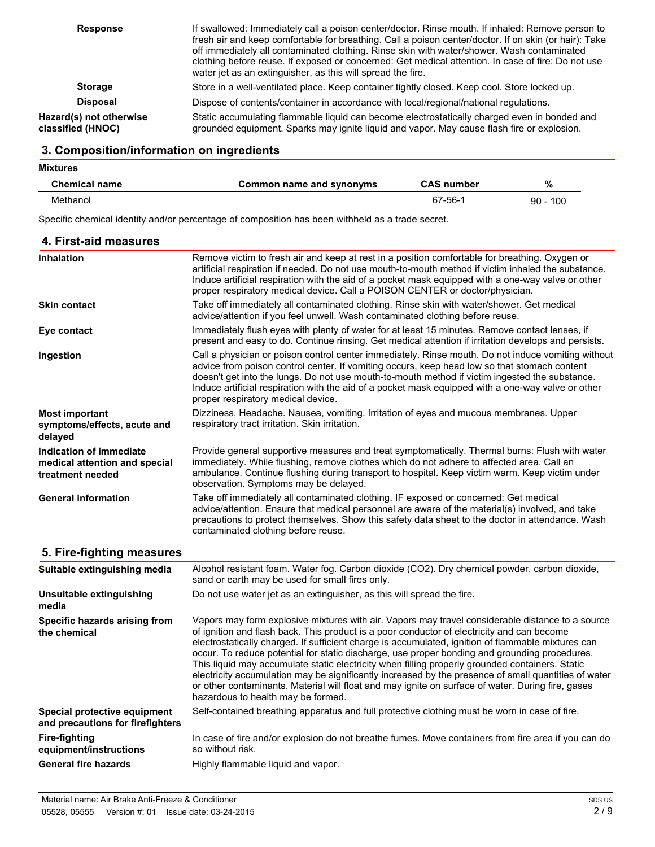| <b>Response</b>                              | If swallowed: Immediately call a poison center/doctor. Rinse mouth. If inhaled: Remove person to<br>fresh air and keep comfortable for breathing. Call a poison center/doctor. If on skin (or hair): Take<br>off immediately all contaminated clothing. Rinse skin with water/shower. Wash contaminated<br>clothing before reuse. If exposed or concerned: Get medical attention. In case of fire: Do not use<br>water jet as an extinguisher, as this will spread the fire. |
|----------------------------------------------|------------------------------------------------------------------------------------------------------------------------------------------------------------------------------------------------------------------------------------------------------------------------------------------------------------------------------------------------------------------------------------------------------------------------------------------------------------------------------|
| <b>Storage</b>                               | Store in a well-ventilated place. Keep container tightly closed. Keep cool. Store locked up.                                                                                                                                                                                                                                                                                                                                                                                 |
| <b>Disposal</b>                              | Dispose of contents/container in accordance with local/regional/national regulations.                                                                                                                                                                                                                                                                                                                                                                                        |
| Hazard(s) not otherwise<br>classified (HNOC) | Static accumulating flammable liquid can become electrostatically charged even in bonded and<br>grounded equipment. Sparks may ignite liquid and vapor. May cause flash fire or explosion.                                                                                                                                                                                                                                                                                   |

### **3. Composition/information on ingredients**

| <b>Mixtures</b>      |                          |                   |            |  |
|----------------------|--------------------------|-------------------|------------|--|
| <b>Chemical name</b> | Common name and synonyms | <b>CAS number</b> | %          |  |
| Methanol             |                          | 67-56-1           | $90 - 100$ |  |

Specific chemical identity and/or percentage of composition has been withheld as a trade secret.

| 4. First-aid measures                                                        |                                                                                                                                                                                                                                                                                                                                                                                                                                                                                                                                                                                                                                                                                                                                                             |
|------------------------------------------------------------------------------|-------------------------------------------------------------------------------------------------------------------------------------------------------------------------------------------------------------------------------------------------------------------------------------------------------------------------------------------------------------------------------------------------------------------------------------------------------------------------------------------------------------------------------------------------------------------------------------------------------------------------------------------------------------------------------------------------------------------------------------------------------------|
| <b>Inhalation</b>                                                            | Remove victim to fresh air and keep at rest in a position comfortable for breathing. Oxygen or<br>artificial respiration if needed. Do not use mouth-to-mouth method if victim inhaled the substance.<br>Induce artificial respiration with the aid of a pocket mask equipped with a one-way valve or other<br>proper respiratory medical device. Call a POISON CENTER or doctor/physician.                                                                                                                                                                                                                                                                                                                                                                 |
| <b>Skin contact</b>                                                          | Take off immediately all contaminated clothing. Rinse skin with water/shower. Get medical<br>advice/attention if you feel unwell. Wash contaminated clothing before reuse.                                                                                                                                                                                                                                                                                                                                                                                                                                                                                                                                                                                  |
| Eye contact                                                                  | Immediately flush eyes with plenty of water for at least 15 minutes. Remove contact lenses, if<br>present and easy to do. Continue rinsing. Get medical attention if irritation develops and persists.                                                                                                                                                                                                                                                                                                                                                                                                                                                                                                                                                      |
| Ingestion                                                                    | Call a physician or poison control center immediately. Rinse mouth. Do not induce vomiting without<br>advice from poison control center. If vomiting occurs, keep head low so that stomach content<br>doesn't get into the lungs. Do not use mouth-to-mouth method if victim ingested the substance.<br>Induce artificial respiration with the aid of a pocket mask equipped with a one-way valve or other<br>proper respiratory medical device.                                                                                                                                                                                                                                                                                                            |
| <b>Most important</b><br>symptoms/effects, acute and<br>delayed              | Dizziness. Headache. Nausea, vomiting. Irritation of eyes and mucous membranes. Upper<br>respiratory tract irritation. Skin irritation.                                                                                                                                                                                                                                                                                                                                                                                                                                                                                                                                                                                                                     |
| Indication of immediate<br>medical attention and special<br>treatment needed | Provide general supportive measures and treat symptomatically. Thermal burns: Flush with water<br>immediately. While flushing, remove clothes which do not adhere to affected area. Call an<br>ambulance. Continue flushing during transport to hospital. Keep victim warm. Keep victim under<br>observation. Symptoms may be delayed.                                                                                                                                                                                                                                                                                                                                                                                                                      |
| <b>General information</b>                                                   | Take off immediately all contaminated clothing. IF exposed or concerned: Get medical<br>advice/attention. Ensure that medical personnel are aware of the material(s) involved, and take<br>precautions to protect themselves. Show this safety data sheet to the doctor in attendance. Wash<br>contaminated clothing before reuse.                                                                                                                                                                                                                                                                                                                                                                                                                          |
| 5. Fire-fighting measures                                                    |                                                                                                                                                                                                                                                                                                                                                                                                                                                                                                                                                                                                                                                                                                                                                             |
| Suitable extinguishing media                                                 | Alcohol resistant foam. Water fog. Carbon dioxide (CO2). Dry chemical powder, carbon dioxide,<br>sand or earth may be used for small fires only.                                                                                                                                                                                                                                                                                                                                                                                                                                                                                                                                                                                                            |
| Unsuitable extinguishing<br>media                                            | Do not use water jet as an extinguisher, as this will spread the fire.                                                                                                                                                                                                                                                                                                                                                                                                                                                                                                                                                                                                                                                                                      |
| Specific hazards arising from<br>the chemical                                | Vapors may form explosive mixtures with air. Vapors may travel considerable distance to a source<br>of ignition and flash back. This product is a poor conductor of electricity and can become<br>electrostatically charged. If sufficient charge is accumulated, ignition of flammable mixtures can<br>occur. To reduce potential for static discharge, use proper bonding and grounding procedures.<br>This liquid may accumulate static electricity when filling properly grounded containers. Static<br>electricity accumulation may be significantly increased by the presence of small quantities of water<br>or other contaminants. Material will float and may ignite on surface of water. During fire, gases<br>hazardous to health may be formed. |
| Special protective equipment<br>and precautions for firefighters             | Self-contained breathing apparatus and full protective clothing must be worn in case of fire.                                                                                                                                                                                                                                                                                                                                                                                                                                                                                                                                                                                                                                                               |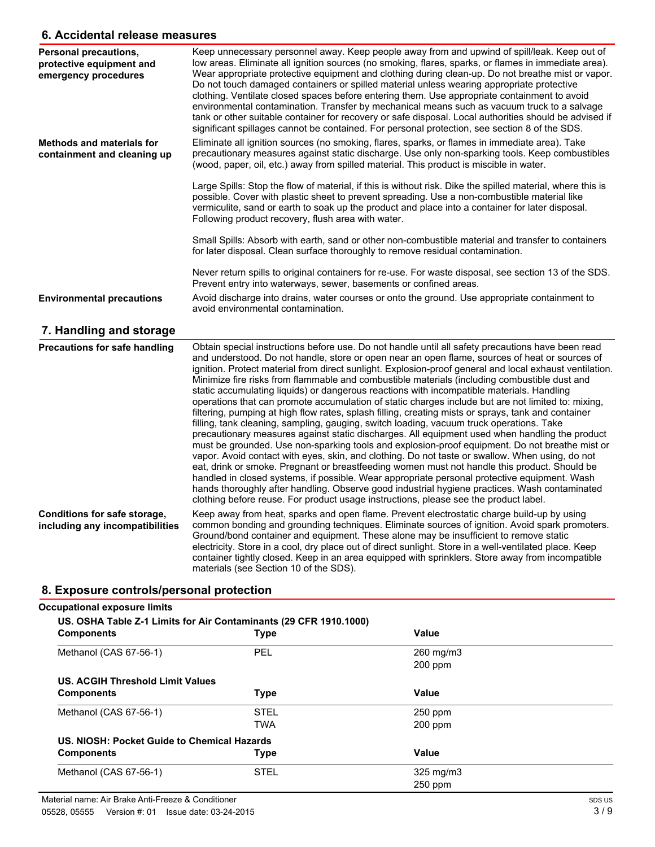#### **6. Accidental release measures**

| Personal precautions,<br>protective equipment and<br>emergency procedures | Keep unnecessary personnel away. Keep people away from and upwind of spill/leak. Keep out of<br>low areas. Eliminate all ignition sources (no smoking, flares, sparks, or flames in immediate area).<br>Wear appropriate protective equipment and clothing during clean-up. Do not breathe mist or vapor.<br>Do not touch damaged containers or spilled material unless wearing appropriate protective<br>clothing. Ventilate closed spaces before entering them. Use appropriate containment to avoid<br>environmental contamination. Transfer by mechanical means such as vacuum truck to a salvage<br>tank or other suitable container for recovery or safe disposal. Local authorities should be advised if<br>significant spillages cannot be contained. For personal protection, see section 8 of the SDS. |
|---------------------------------------------------------------------------|------------------------------------------------------------------------------------------------------------------------------------------------------------------------------------------------------------------------------------------------------------------------------------------------------------------------------------------------------------------------------------------------------------------------------------------------------------------------------------------------------------------------------------------------------------------------------------------------------------------------------------------------------------------------------------------------------------------------------------------------------------------------------------------------------------------|
| <b>Methods and materials for</b><br>containment and cleaning up           | Eliminate all ignition sources (no smoking, flares, sparks, or flames in immediate area). Take<br>precautionary measures against static discharge. Use only non-sparking tools. Keep combustibles<br>(wood, paper, oil, etc.) away from spilled material. This product is miscible in water.<br>Large Spills: Stop the flow of material, if this is without risk. Dike the spilled material, where this is<br>possible. Cover with plastic sheet to prevent spreading. Use a non-combustible material like<br>vermiculite, sand or earth to soak up the product and place into a container for later disposal.<br>Following product recovery, flush area with water.                                                                                                                                             |
|                                                                           | Small Spills: Absorb with earth, sand or other non-combustible material and transfer to containers<br>for later disposal. Clean surface thoroughly to remove residual contamination.                                                                                                                                                                                                                                                                                                                                                                                                                                                                                                                                                                                                                             |
|                                                                           | Never return spills to original containers for re-use. For waste disposal, see section 13 of the SDS.<br>Prevent entry into waterways, sewer, basements or confined areas.                                                                                                                                                                                                                                                                                                                                                                                                                                                                                                                                                                                                                                       |
| <b>Environmental precautions</b>                                          | Avoid discharge into drains, water courses or onto the ground. Use appropriate containment to<br>avoid environmental contamination.                                                                                                                                                                                                                                                                                                                                                                                                                                                                                                                                                                                                                                                                              |

### **7. Handling and storage**

| <b>Precautions for safe handling</b>                            | Obtain special instructions before use. Do not handle until all safety precautions have been read<br>and understood. Do not handle, store or open near an open flame, sources of heat or sources of<br>ignition. Protect material from direct sunlight. Explosion-proof general and local exhaust ventilation.<br>Minimize fire risks from flammable and combustible materials (including combustible dust and<br>static accumulating liquids) or dangerous reactions with incompatible materials. Handling<br>operations that can promote accumulation of static charges include but are not limited to: mixing,<br>filtering, pumping at high flow rates, splash filling, creating mists or sprays, tank and container<br>filling, tank cleaning, sampling, gauging, switch loading, vacuum truck operations. Take<br>precautionary measures against static discharges. All equipment used when handling the product<br>must be grounded. Use non-sparking tools and explosion-proof equipment. Do not breathe mist or<br>vapor. Avoid contact with eyes, skin, and clothing. Do not taste or swallow. When using, do not<br>eat, drink or smoke. Pregnant or breastfeeding women must not handle this product. Should be<br>handled in closed systems, if possible. Wear appropriate personal protective equipment. Wash<br>hands thoroughly after handling. Observe good industrial hygiene practices. Wash contaminated<br>clothing before reuse. For product usage instructions, please see the product label. |
|-----------------------------------------------------------------|----------------------------------------------------------------------------------------------------------------------------------------------------------------------------------------------------------------------------------------------------------------------------------------------------------------------------------------------------------------------------------------------------------------------------------------------------------------------------------------------------------------------------------------------------------------------------------------------------------------------------------------------------------------------------------------------------------------------------------------------------------------------------------------------------------------------------------------------------------------------------------------------------------------------------------------------------------------------------------------------------------------------------------------------------------------------------------------------------------------------------------------------------------------------------------------------------------------------------------------------------------------------------------------------------------------------------------------------------------------------------------------------------------------------------------------------------------------------------------------------------------------------|
| Conditions for safe storage,<br>including any incompatibilities | Keep away from heat, sparks and open flame. Prevent electrostatic charge build-up by using<br>common bonding and grounding techniques. Eliminate sources of ignition. Avoid spark promoters.<br>Ground/bond container and equipment. These alone may be insufficient to remove static<br>electricity. Store in a cool, dry place out of direct sunlight. Store in a well-ventilated place. Keep<br>container tightly closed. Keep in an area equipped with sprinklers. Store away from incompatible<br>materials (see Section 10 of the SDS).                                                                                                                                                                                                                                                                                                                                                                                                                                                                                                                                                                                                                                                                                                                                                                                                                                                                                                                                                                        |

# **8. Exposure controls/personal protection**

## **Occupational exposure limits**

| <b>Components</b>                           | US. OSHA Table Z-1 Limits for Air Contaminants (29 CFR 1910.1000)<br><b>Type</b> | Value     |  |
|---------------------------------------------|----------------------------------------------------------------------------------|-----------|--|
| Methanol (CAS 67-56-1)                      | PEL                                                                              | 260 mg/m3 |  |
|                                             |                                                                                  | $200$ ppm |  |
| US. ACGIH Threshold Limit Values            |                                                                                  |           |  |
| <b>Components</b>                           | <b>Type</b>                                                                      | Value     |  |
| Methanol (CAS 67-56-1)                      | <b>STEL</b>                                                                      | $250$ ppm |  |
|                                             | <b>TWA</b>                                                                       | $200$ ppm |  |
| US. NIOSH: Pocket Guide to Chemical Hazards |                                                                                  |           |  |
| <b>Components</b>                           | <b>Type</b>                                                                      | Value     |  |
| Methanol (CAS 67-56-1)                      | <b>STEL</b>                                                                      | 325 mg/m3 |  |
|                                             |                                                                                  | $250$ ppm |  |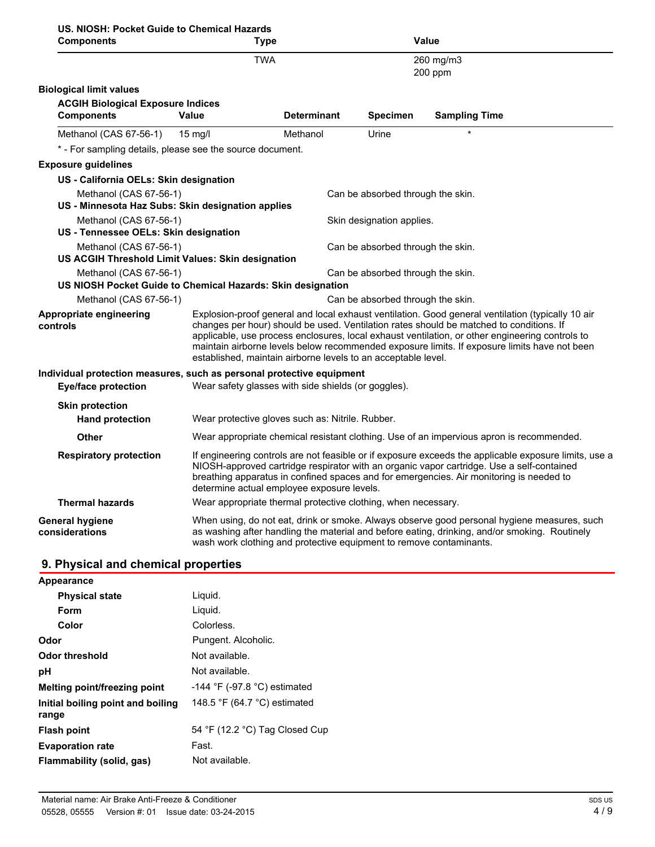| US. NIOSH: Pocket Guide to Chemical Hazards<br><b>Components</b>            | <b>Type</b>       |                                                                     |                                   | Value                                                                                                                                                                                                                                                                                                                                                                                           |  |
|-----------------------------------------------------------------------------|-------------------|---------------------------------------------------------------------|-----------------------------------|-------------------------------------------------------------------------------------------------------------------------------------------------------------------------------------------------------------------------------------------------------------------------------------------------------------------------------------------------------------------------------------------------|--|
|                                                                             | <b>TWA</b>        |                                                                     |                                   | 260 mg/m3<br>200 ppm                                                                                                                                                                                                                                                                                                                                                                            |  |
| <b>Biological limit values</b>                                              |                   |                                                                     |                                   |                                                                                                                                                                                                                                                                                                                                                                                                 |  |
| <b>ACGIH Biological Exposure Indices</b>                                    |                   |                                                                     |                                   |                                                                                                                                                                                                                                                                                                                                                                                                 |  |
| <b>Components</b>                                                           | Value             | <b>Determinant</b>                                                  | <b>Specimen</b>                   | <b>Sampling Time</b>                                                                                                                                                                                                                                                                                                                                                                            |  |
| Methanol (CAS 67-56-1)                                                      | $15 \text{ mg/l}$ | Methanol                                                            | Urine                             |                                                                                                                                                                                                                                                                                                                                                                                                 |  |
| * - For sampling details, please see the source document.                   |                   |                                                                     |                                   |                                                                                                                                                                                                                                                                                                                                                                                                 |  |
| <b>Exposure guidelines</b>                                                  |                   |                                                                     |                                   |                                                                                                                                                                                                                                                                                                                                                                                                 |  |
| US - California OELs: Skin designation                                      |                   |                                                                     |                                   |                                                                                                                                                                                                                                                                                                                                                                                                 |  |
| Methanol (CAS 67-56-1)                                                      |                   |                                                                     | Can be absorbed through the skin. |                                                                                                                                                                                                                                                                                                                                                                                                 |  |
| US - Minnesota Haz Subs: Skin designation applies                           |                   |                                                                     |                                   |                                                                                                                                                                                                                                                                                                                                                                                                 |  |
| Methanol (CAS 67-56-1)                                                      |                   |                                                                     | Skin designation applies.         |                                                                                                                                                                                                                                                                                                                                                                                                 |  |
| US - Tennessee OELs: Skin designation                                       |                   |                                                                     |                                   |                                                                                                                                                                                                                                                                                                                                                                                                 |  |
| Methanol (CAS 67-56-1)<br>US ACGIH Threshold Limit Values: Skin designation |                   |                                                                     | Can be absorbed through the skin. |                                                                                                                                                                                                                                                                                                                                                                                                 |  |
| Methanol (CAS 67-56-1)                                                      |                   |                                                                     | Can be absorbed through the skin. |                                                                                                                                                                                                                                                                                                                                                                                                 |  |
| US NIOSH Pocket Guide to Chemical Hazards: Skin designation                 |                   |                                                                     |                                   |                                                                                                                                                                                                                                                                                                                                                                                                 |  |
| Methanol (CAS 67-56-1)                                                      |                   |                                                                     | Can be absorbed through the skin. |                                                                                                                                                                                                                                                                                                                                                                                                 |  |
| Appropriate engineering<br>controls                                         |                   | established, maintain airborne levels to an acceptable level.       |                                   | Explosion-proof general and local exhaust ventilation. Good general ventilation (typically 10 air<br>changes per hour) should be used. Ventilation rates should be matched to conditions. If<br>applicable, use process enclosures, local exhaust ventilation, or other engineering controls to<br>maintain airborne levels below recommended exposure limits. If exposure limits have not been |  |
| Individual protection measures, such as personal protective equipment       |                   |                                                                     |                                   |                                                                                                                                                                                                                                                                                                                                                                                                 |  |
| <b>Eye/face protection</b>                                                  |                   | Wear safety glasses with side shields (or goggles).                 |                                   |                                                                                                                                                                                                                                                                                                                                                                                                 |  |
| <b>Skin protection</b>                                                      |                   |                                                                     |                                   |                                                                                                                                                                                                                                                                                                                                                                                                 |  |
| <b>Hand protection</b>                                                      |                   | Wear protective gloves such as: Nitrile. Rubber.                    |                                   |                                                                                                                                                                                                                                                                                                                                                                                                 |  |
| Other                                                                       |                   |                                                                     |                                   | Wear appropriate chemical resistant clothing. Use of an impervious apron is recommended.                                                                                                                                                                                                                                                                                                        |  |
| <b>Respiratory protection</b>                                               |                   | determine actual employee exposure levels.                          |                                   | If engineering controls are not feasible or if exposure exceeds the applicable exposure limits, use a<br>NIOSH-approved cartridge respirator with an organic vapor cartridge. Use a self-contained<br>breathing apparatus in confined spaces and for emergencies. Air monitoring is needed to                                                                                                   |  |
| <b>Thermal hazards</b>                                                      |                   | Wear appropriate thermal protective clothing, when necessary.       |                                   |                                                                                                                                                                                                                                                                                                                                                                                                 |  |
| <b>General hygiene</b><br>considerations                                    |                   | wash work clothing and protective equipment to remove contaminants. |                                   | When using, do not eat, drink or smoke. Always observe good personal hygiene measures, such<br>as washing after handling the material and before eating, drinking, and/or smoking. Routinely                                                                                                                                                                                                    |  |

# **9. Physical and chemical properties**

| Appearance                                 |                                                |
|--------------------------------------------|------------------------------------------------|
| <b>Physical state</b>                      | Liquid.                                        |
| Form                                       | Liquid.                                        |
| Color                                      | Colorless.                                     |
| Odor                                       | Pungent. Alcoholic.                            |
| Odor threshold                             | Not available.                                 |
| рH                                         | Not available.                                 |
| Melting point/freezing point               | -144 $\degree$ F (-97.8 $\degree$ C) estimated |
| Initial boiling point and boiling<br>range | 148.5 $\degree$ F (64.7 $\degree$ C) estimated |
| <b>Flash point</b>                         | 54 °F (12.2 °C) Tag Closed Cup                 |
| <b>Evaporation rate</b>                    | Fast.                                          |
| Flammability (solid, gas)                  | Not available.                                 |
|                                            |                                                |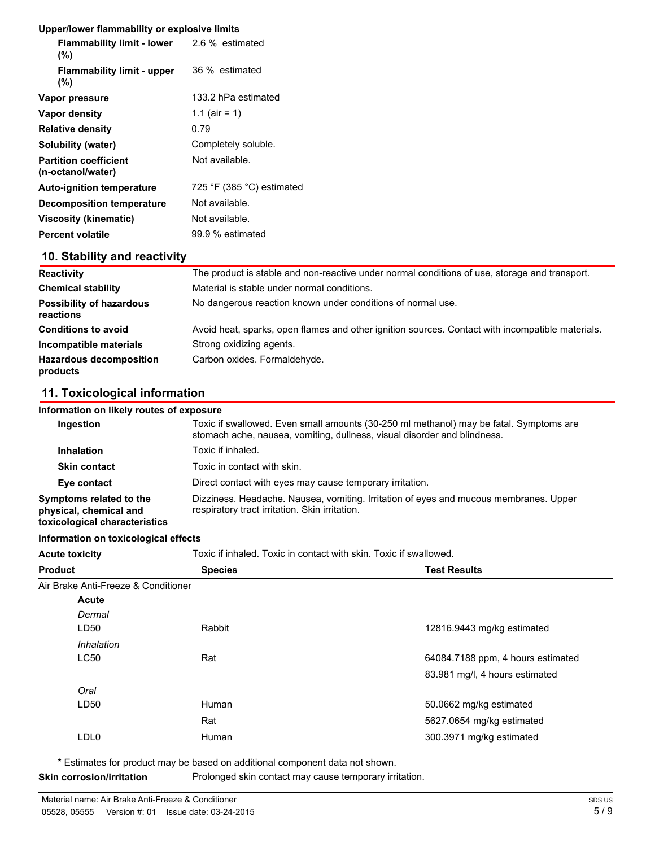#### **Upper/lower flammability or explosive limits**

| <b>Flammability limit - lower</b> 2.6 % estimated<br>(%) |                                             |
|----------------------------------------------------------|---------------------------------------------|
| <b>Flammability limit - upper</b><br>(%)                 | 36 % estimated                              |
| Vapor pressure                                           | 133.2 hPa estimated                         |
| Vapor density                                            | 1.1 (air = 1)                               |
| <b>Relative density</b>                                  | 0.79                                        |
| Solubility (water)                                       | Completely soluble.                         |
| <b>Partition coefficient</b><br>(n-octanol/water)        | Not available.                              |
| <b>Auto-ignition temperature</b>                         | 725 $\degree$ F (385 $\degree$ C) estimated |
| <b>Decomposition temperature</b>                         | Not available.                              |
| Viscosity (kinematic)                                    | Not available.                              |
| <b>Percent volatile</b>                                  | 99.9 % estimated                            |

### **10. Stability and reactivity**

| <b>Reactivity</b>                            | The product is stable and non-reactive under normal conditions of use, storage and transport.    |
|----------------------------------------------|--------------------------------------------------------------------------------------------------|
| <b>Chemical stability</b>                    | Material is stable under normal conditions.                                                      |
| <b>Possibility of hazardous</b><br>reactions | No dangerous reaction known under conditions of normal use.                                      |
| <b>Conditions to avoid</b>                   | Avoid heat, sparks, open flames and other ignition sources. Contact with incompatible materials. |
| Incompatible materials                       | Strong oxidizing agents.                                                                         |
| <b>Hazardous decomposition</b><br>products   | Carbon oxides. Formaldehyde.                                                                     |

#### **11. Toxicological information**

#### **Information on likely routes of exposure**

| Ingestion                                                                          | Toxic if swallowed. Even small amounts (30-250 ml methanol) may be fatal. Symptoms are<br>stomach ache, nausea, vomiting, dullness, visual disorder and blindness. |
|------------------------------------------------------------------------------------|--------------------------------------------------------------------------------------------------------------------------------------------------------------------|
| <b>Inhalation</b>                                                                  | Toxic if inhaled.                                                                                                                                                  |
| <b>Skin contact</b>                                                                | Toxic in contact with skin.                                                                                                                                        |
| Eye contact                                                                        | Direct contact with eyes may cause temporary irritation.                                                                                                           |
| Symptoms related to the<br>physical, chemical and<br>toxicological characteristics | Dizziness. Headache. Nausea, vomiting. Irritation of eyes and mucous membranes. Upper<br>respiratory tract irritation. Skin irritation.                            |

#### **Information on toxicological effects**

| <b>Acute toxicity</b> | Toxic if inhaled. Toxic in contact with skin. Toxic if swallowed. |                     |
|-----------------------|-------------------------------------------------------------------|---------------------|
| <b>Product</b>        | <b>Species</b>                                                    | <b>Test Results</b> |

#### Air Brake Anti-Freeze & Conditioner

**Acute toxicity** 

| siake Anti-Freeze & Conditioner |        |                                   |
|---------------------------------|--------|-----------------------------------|
| <b>Acute</b>                    |        |                                   |
| Dermal                          |        |                                   |
| LD50                            | Rabbit | 12816.9443 mg/kg estimated        |
| Inhalation                      |        |                                   |
| <b>LC50</b>                     | Rat    | 64084.7188 ppm, 4 hours estimated |
|                                 |        | 83.981 mg/l, 4 hours estimated    |
| Oral                            |        |                                   |
| LD50                            | Human  | 50.0662 mg/kg estimated           |
|                                 | Rat    | 5627.0654 mg/kg estimated         |
| LDL <sub>0</sub>                | Human  | 300.3971 mg/kg estimated          |
|                                 |        |                                   |

\* Estimates for product may be based on additional component data not shown.

**Skin corrosion/irritation** Prolonged skin contact may cause temporary irritation.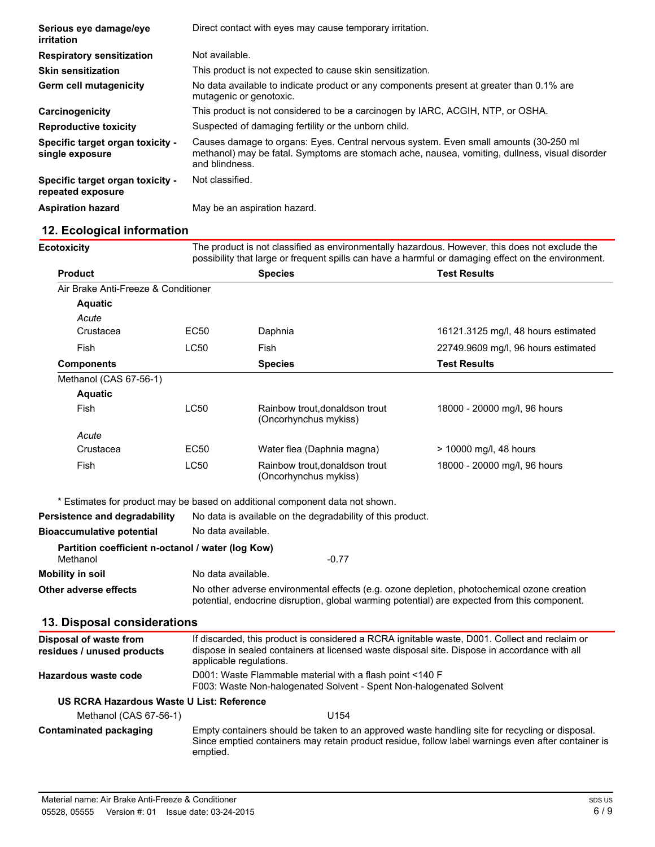| Serious eye damage/eye<br>irritation                  | Direct contact with eyes may cause temporary irritation.                                                                                                                                                 |
|-------------------------------------------------------|----------------------------------------------------------------------------------------------------------------------------------------------------------------------------------------------------------|
| <b>Respiratory sensitization</b>                      | Not available.                                                                                                                                                                                           |
| <b>Skin sensitization</b>                             | This product is not expected to cause skin sensitization.                                                                                                                                                |
| Germ cell mutagenicity                                | No data available to indicate product or any components present at greater than 0.1% are<br>mutagenic or genotoxic.                                                                                      |
| Carcinogenicity                                       | This product is not considered to be a carcinogen by IARC, ACGIH, NTP, or OSHA.                                                                                                                          |
| <b>Reproductive toxicity</b>                          | Suspected of damaging fertility or the unborn child.                                                                                                                                                     |
| Specific target organ toxicity -<br>single exposure   | Causes damage to organs: Eyes. Central nervous system. Even small amounts (30-250 ml<br>methanol) may be fatal. Symptoms are stomach ache, nausea, vomiting, dullness, visual disorder<br>and blindness. |
| Specific target organ toxicity -<br>repeated exposure | Not classified.                                                                                                                                                                                          |
| <b>Aspiration hazard</b>                              | May be an aspiration hazard.                                                                                                                                                                             |

# **12. Ecological information**

| <b>Ecotoxicity</b>                                            | The product is not classified as environmentally hazardous. However, this does not exclude the<br>possibility that large or frequent spills can have a harmful or damaging effect on the environment.                    |                                                                              |                                     |
|---------------------------------------------------------------|--------------------------------------------------------------------------------------------------------------------------------------------------------------------------------------------------------------------------|------------------------------------------------------------------------------|-------------------------------------|
| <b>Product</b>                                                |                                                                                                                                                                                                                          | <b>Species</b>                                                               | <b>Test Results</b>                 |
| Air Brake Anti-Freeze & Conditioner                           |                                                                                                                                                                                                                          |                                                                              |                                     |
| <b>Aquatic</b>                                                |                                                                                                                                                                                                                          |                                                                              |                                     |
| Acute                                                         |                                                                                                                                                                                                                          |                                                                              |                                     |
| Crustacea                                                     | EC50                                                                                                                                                                                                                     | Daphnia                                                                      | 16121.3125 mg/l, 48 hours estimated |
| Fish                                                          | <b>LC50</b>                                                                                                                                                                                                              | Fish                                                                         | 22749.9609 mg/l, 96 hours estimated |
| <b>Components</b>                                             |                                                                                                                                                                                                                          | <b>Species</b>                                                               | <b>Test Results</b>                 |
| Methanol (CAS 67-56-1)                                        |                                                                                                                                                                                                                          |                                                                              |                                     |
| <b>Aquatic</b>                                                |                                                                                                                                                                                                                          |                                                                              |                                     |
| Fish                                                          | <b>LC50</b>                                                                                                                                                                                                              | Rainbow trout, donaldson trout<br>(Oncorhynchus mykiss)                      | 18000 - 20000 mg/l, 96 hours        |
| Acute                                                         |                                                                                                                                                                                                                          |                                                                              |                                     |
| Crustacea                                                     | EC50                                                                                                                                                                                                                     | Water flea (Daphnia magna)                                                   | > 10000 mg/l, 48 hours              |
| Fish                                                          | <b>LC50</b>                                                                                                                                                                                                              | Rainbow trout.donaldson trout<br>(Oncorhynchus mykiss)                       | 18000 - 20000 mg/l, 96 hours        |
|                                                               |                                                                                                                                                                                                                          | * Estimates for product may be based on additional component data not shown. |                                     |
| <b>Persistence and degradability</b>                          |                                                                                                                                                                                                                          | No data is available on the degradability of this product.                   |                                     |
| <b>Bioaccumulative potential</b>                              | No data available.                                                                                                                                                                                                       |                                                                              |                                     |
| Partition coefficient n-octanol / water (log Kow)<br>Methanol |                                                                                                                                                                                                                          | $-0.77$                                                                      |                                     |
| <b>Mobility in soil</b>                                       | No data available.                                                                                                                                                                                                       |                                                                              |                                     |
| Other adverse effects                                         | No other adverse environmental effects (e.g. ozone depletion, photochemical ozone creation<br>potential, endocrine disruption, global warming potential) are expected from this component.                               |                                                                              |                                     |
| 13. Disposal considerations                                   |                                                                                                                                                                                                                          |                                                                              |                                     |
| <b>Disposal of waste from</b><br>residues / unused products   | If discarded, this product is considered a RCRA ignitable waste, D001. Collect and reclaim or<br>dispose in sealed containers at licensed waste disposal site. Dispose in accordance with all<br>applicable regulations. |                                                                              |                                     |
| <b>Hazardous waste code</b>                                   | D001: Waste Flammable material with a flash point <140 F<br>F003: Waste Non-halogenated Solvent - Spent Non-halogenated Solvent                                                                                          |                                                                              |                                     |
| US RCRA Hazardous Waste U List: Reference                     |                                                                                                                                                                                                                          |                                                                              |                                     |
| Methanol (CAS 67-56-1)                                        |                                                                                                                                                                                                                          | U154                                                                         |                                     |
| <b>Contaminated packaging</b>                                 | Empty containers should be taken to an approved waste handling site for recycling or disposal.<br>Since emptied containers may retain product residue, follow label warnings even after container is<br>emptied.         |                                                                              |                                     |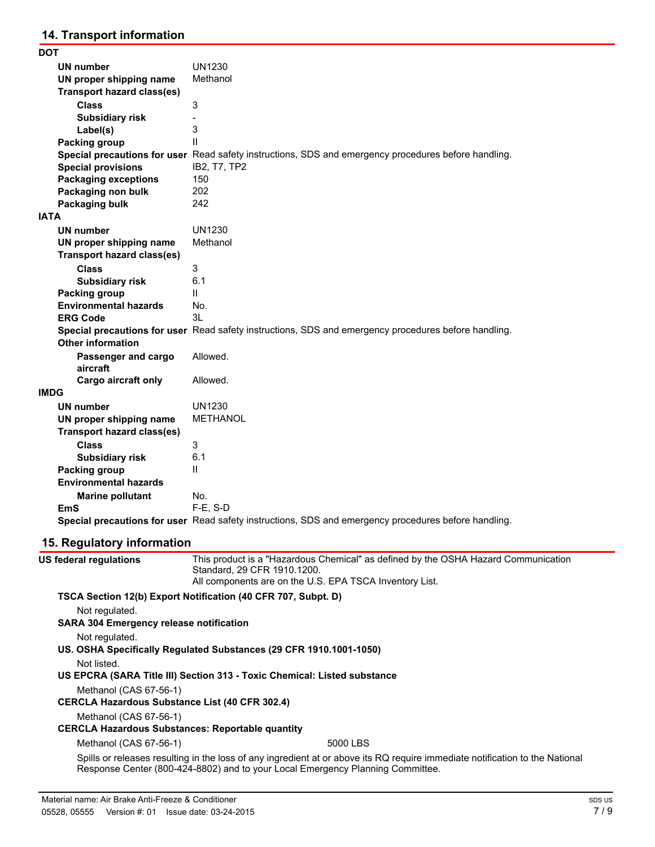## **14. Transport information**

| DOT                               |                                                                                                      |
|-----------------------------------|------------------------------------------------------------------------------------------------------|
| UN number                         | <b>UN1230</b>                                                                                        |
| UN proper shipping name           | Methanol                                                                                             |
| <b>Transport hazard class(es)</b> |                                                                                                      |
| <b>Class</b>                      | 3                                                                                                    |
| <b>Subsidiary risk</b>            |                                                                                                      |
| Label(s)                          | 3                                                                                                    |
| Packing group                     | $\mathbf{H}$                                                                                         |
|                                   | Special precautions for user Read safety instructions, SDS and emergency procedures before handling. |
| <b>Special provisions</b>         | IB2, T7, TP2                                                                                         |
| <b>Packaging exceptions</b>       | 150                                                                                                  |
| Packaging non bulk                | 202                                                                                                  |
| Packaging bulk                    | 242                                                                                                  |
| IATA                              |                                                                                                      |
| <b>UN number</b>                  | <b>UN1230</b>                                                                                        |
| UN proper shipping name           | Methanol                                                                                             |
| <b>Transport hazard class(es)</b> |                                                                                                      |
| <b>Class</b>                      | 3                                                                                                    |
| <b>Subsidiary risk</b>            | 6.1                                                                                                  |
| Packing group                     | $\mathsf{II}$                                                                                        |
| <b>Environmental hazards</b>      | No.                                                                                                  |
| <b>ERG Code</b>                   | 3L                                                                                                   |
|                                   | Special precautions for user Read safety instructions, SDS and emergency procedures before handling. |
| <b>Other information</b>          |                                                                                                      |
| Passenger and cargo               | Allowed.                                                                                             |
| aircraft                          |                                                                                                      |
| Cargo aircraft only               | Allowed.                                                                                             |
| <b>IMDG</b>                       |                                                                                                      |
| <b>UN number</b>                  | UN1230                                                                                               |
| UN proper shipping name           | <b>METHANOL</b>                                                                                      |
| <b>Transport hazard class(es)</b> |                                                                                                      |
| <b>Class</b>                      | 3                                                                                                    |
| <b>Subsidiary risk</b>            | 6.1                                                                                                  |
| Packing group                     | $\mathbf{H}$                                                                                         |
| <b>Environmental hazards</b>      |                                                                                                      |
| <b>Marine pollutant</b>           | No.                                                                                                  |
| EmS                               | $F-E. S-D$                                                                                           |
|                                   | Special precautions for user Read safety instructions, SDS and emergency procedures before handling. |

# **15. Regulatory information**

| US federal regulations                                  | This product is a "Hazardous Chemical" as defined by the OSHA Hazard Communication<br>Standard, 29 CFR 1910.1200.<br>All components are on the U.S. EPA TSCA Inventory List.                                   |
|---------------------------------------------------------|----------------------------------------------------------------------------------------------------------------------------------------------------------------------------------------------------------------|
|                                                         | TSCA Section 12(b) Export Notification (40 CFR 707, Subpt. D)                                                                                                                                                  |
| Not regulated.                                          |                                                                                                                                                                                                                |
| <b>SARA 304 Emergency release notification</b>          |                                                                                                                                                                                                                |
| Not regulated.                                          |                                                                                                                                                                                                                |
|                                                         | US. OSHA Specifically Regulated Substances (29 CFR 1910.1001-1050)                                                                                                                                             |
| Not listed.                                             |                                                                                                                                                                                                                |
|                                                         | US EPCRA (SARA Title III) Section 313 - Toxic Chemical: Listed substance                                                                                                                                       |
| Methanol (CAS 67-56-1)                                  |                                                                                                                                                                                                                |
| <b>CERCLA Hazardous Substance List (40 CFR 302.4)</b>   |                                                                                                                                                                                                                |
| Methanol (CAS 67-56-1)                                  |                                                                                                                                                                                                                |
| <b>CERCLA Hazardous Substances: Reportable quantity</b> |                                                                                                                                                                                                                |
| Methanol (CAS 67-56-1)                                  | 5000 LBS                                                                                                                                                                                                       |
|                                                         | Spills or releases resulting in the loss of any ingredient at or above its RQ require immediate notification to the National<br>Response Center (800-424-8802) and to your Local Emergency Planning Committee. |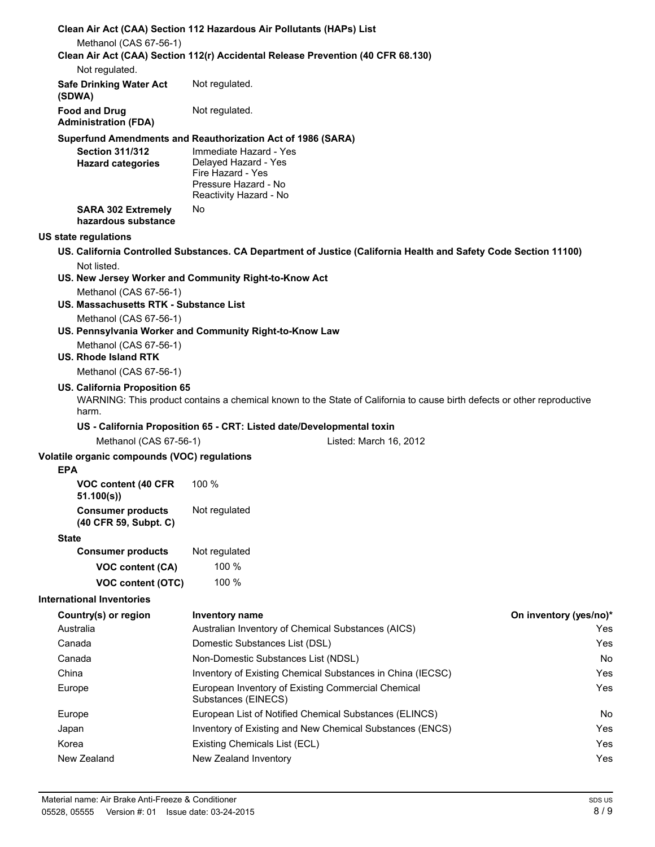| Clean Air Act (CAA) Section 112 Hazardous Air Pollutants (HAPs) List<br>Methanol (CAS 67-56-1)<br>Clean Air Act (CAA) Section 112(r) Accidental Release Prevention (40 CFR 68.130)<br>Not regulated.<br><b>Safe Drinking Water Act</b><br>Not regulated.<br>(SDWA)<br>Not regulated.<br><b>Food and Drug</b><br><b>Administration (FDA)</b><br>Superfund Amendments and Reauthorization Act of 1986 (SARA)<br>Immediate Hazard - Yes<br><b>Section 311/312</b><br>Delayed Hazard - Yes<br><b>Hazard categories</b><br>Fire Hazard - Yes<br>Pressure Hazard - No<br>Reactivity Hazard - No<br>No<br><b>SARA 302 Extremely</b><br>hazardous substance<br>US. California Controlled Substances. CA Department of Justice (California Health and Safety Code Section 11100)<br>Not listed.<br>US. New Jersey Worker and Community Right-to-Know Act<br>Methanol (CAS 67-56-1)<br>US. Massachusetts RTK - Substance List<br>Methanol (CAS 67-56-1)<br>US. Pennsylvania Worker and Community Right-to-Know Law<br>Methanol (CAS 67-56-1)<br><b>US. Rhode Island RTK</b><br>Methanol (CAS 67-56-1)<br>US. California Proposition 65<br>WARNING: This product contains a chemical known to the State of California to cause birth defects or other reproductive<br>harm.<br>US - California Proposition 65 - CRT: Listed date/Developmental toxin<br>Methanol (CAS 67-56-1)<br>Listed: March 16, 2012<br><b>EPA</b><br>100%<br>VOC content (40 CFR)<br>51.100(s)<br>Not regulated<br><b>Consumer products</b><br>(40 CFR 59, Subpt. C)<br><b>State</b><br>Not regulated<br><b>Consumer products</b><br>100 %<br>VOC content (CA)<br>100 %<br>VOC content (OTC)<br>Country(s) or region<br>Inventory name<br>Australia<br>Australian Inventory of Chemical Substances (AICS)<br>Canada<br>Domestic Substances List (DSL)<br>Non-Domestic Substances List (NDSL)<br>Canada<br>Inventory of Existing Chemical Substances in China (IECSC)<br>China<br>European Inventory of Existing Commercial Chemical<br>Europe<br>Substances (EINECS)<br>European List of Notified Chemical Substances (ELINCS)<br>Europe<br>Inventory of Existing and New Chemical Substances (ENCS)<br>Japan<br>Korea<br>Existing Chemicals List (ECL)<br>New Zealand<br>New Zealand Inventory |  |  |                               |  |
|-----------------------------------------------------------------------------------------------------------------------------------------------------------------------------------------------------------------------------------------------------------------------------------------------------------------------------------------------------------------------------------------------------------------------------------------------------------------------------------------------------------------------------------------------------------------------------------------------------------------------------------------------------------------------------------------------------------------------------------------------------------------------------------------------------------------------------------------------------------------------------------------------------------------------------------------------------------------------------------------------------------------------------------------------------------------------------------------------------------------------------------------------------------------------------------------------------------------------------------------------------------------------------------------------------------------------------------------------------------------------------------------------------------------------------------------------------------------------------------------------------------------------------------------------------------------------------------------------------------------------------------------------------------------------------------------------------------------------------------------------------------------------------------------------------------------------------------------------------------------------------------------------------------------------------------------------------------------------------------------------------------------------------------------------------------------------------------------------------------------------------------------------------------------------------------------------------------------------------------------------------------|--|--|-------------------------------|--|
|                                                                                                                                                                                                                                                                                                                                                                                                                                                                                                                                                                                                                                                                                                                                                                                                                                                                                                                                                                                                                                                                                                                                                                                                                                                                                                                                                                                                                                                                                                                                                                                                                                                                                                                                                                                                                                                                                                                                                                                                                                                                                                                                                                                                                                                           |  |  |                               |  |
| US state regulations<br>Volatile organic compounds (VOC) regulations<br><b>International Inventories</b>                                                                                                                                                                                                                                                                                                                                                                                                                                                                                                                                                                                                                                                                                                                                                                                                                                                                                                                                                                                                                                                                                                                                                                                                                                                                                                                                                                                                                                                                                                                                                                                                                                                                                                                                                                                                                                                                                                                                                                                                                                                                                                                                                  |  |  |                               |  |
|                                                                                                                                                                                                                                                                                                                                                                                                                                                                                                                                                                                                                                                                                                                                                                                                                                                                                                                                                                                                                                                                                                                                                                                                                                                                                                                                                                                                                                                                                                                                                                                                                                                                                                                                                                                                                                                                                                                                                                                                                                                                                                                                                                                                                                                           |  |  |                               |  |
|                                                                                                                                                                                                                                                                                                                                                                                                                                                                                                                                                                                                                                                                                                                                                                                                                                                                                                                                                                                                                                                                                                                                                                                                                                                                                                                                                                                                                                                                                                                                                                                                                                                                                                                                                                                                                                                                                                                                                                                                                                                                                                                                                                                                                                                           |  |  |                               |  |
|                                                                                                                                                                                                                                                                                                                                                                                                                                                                                                                                                                                                                                                                                                                                                                                                                                                                                                                                                                                                                                                                                                                                                                                                                                                                                                                                                                                                                                                                                                                                                                                                                                                                                                                                                                                                                                                                                                                                                                                                                                                                                                                                                                                                                                                           |  |  |                               |  |
|                                                                                                                                                                                                                                                                                                                                                                                                                                                                                                                                                                                                                                                                                                                                                                                                                                                                                                                                                                                                                                                                                                                                                                                                                                                                                                                                                                                                                                                                                                                                                                                                                                                                                                                                                                                                                                                                                                                                                                                                                                                                                                                                                                                                                                                           |  |  |                               |  |
|                                                                                                                                                                                                                                                                                                                                                                                                                                                                                                                                                                                                                                                                                                                                                                                                                                                                                                                                                                                                                                                                                                                                                                                                                                                                                                                                                                                                                                                                                                                                                                                                                                                                                                                                                                                                                                                                                                                                                                                                                                                                                                                                                                                                                                                           |  |  |                               |  |
|                                                                                                                                                                                                                                                                                                                                                                                                                                                                                                                                                                                                                                                                                                                                                                                                                                                                                                                                                                                                                                                                                                                                                                                                                                                                                                                                                                                                                                                                                                                                                                                                                                                                                                                                                                                                                                                                                                                                                                                                                                                                                                                                                                                                                                                           |  |  |                               |  |
|                                                                                                                                                                                                                                                                                                                                                                                                                                                                                                                                                                                                                                                                                                                                                                                                                                                                                                                                                                                                                                                                                                                                                                                                                                                                                                                                                                                                                                                                                                                                                                                                                                                                                                                                                                                                                                                                                                                                                                                                                                                                                                                                                                                                                                                           |  |  |                               |  |
|                                                                                                                                                                                                                                                                                                                                                                                                                                                                                                                                                                                                                                                                                                                                                                                                                                                                                                                                                                                                                                                                                                                                                                                                                                                                                                                                                                                                                                                                                                                                                                                                                                                                                                                                                                                                                                                                                                                                                                                                                                                                                                                                                                                                                                                           |  |  |                               |  |
|                                                                                                                                                                                                                                                                                                                                                                                                                                                                                                                                                                                                                                                                                                                                                                                                                                                                                                                                                                                                                                                                                                                                                                                                                                                                                                                                                                                                                                                                                                                                                                                                                                                                                                                                                                                                                                                                                                                                                                                                                                                                                                                                                                                                                                                           |  |  |                               |  |
|                                                                                                                                                                                                                                                                                                                                                                                                                                                                                                                                                                                                                                                                                                                                                                                                                                                                                                                                                                                                                                                                                                                                                                                                                                                                                                                                                                                                                                                                                                                                                                                                                                                                                                                                                                                                                                                                                                                                                                                                                                                                                                                                                                                                                                                           |  |  |                               |  |
|                                                                                                                                                                                                                                                                                                                                                                                                                                                                                                                                                                                                                                                                                                                                                                                                                                                                                                                                                                                                                                                                                                                                                                                                                                                                                                                                                                                                                                                                                                                                                                                                                                                                                                                                                                                                                                                                                                                                                                                                                                                                                                                                                                                                                                                           |  |  |                               |  |
|                                                                                                                                                                                                                                                                                                                                                                                                                                                                                                                                                                                                                                                                                                                                                                                                                                                                                                                                                                                                                                                                                                                                                                                                                                                                                                                                                                                                                                                                                                                                                                                                                                                                                                                                                                                                                                                                                                                                                                                                                                                                                                                                                                                                                                                           |  |  |                               |  |
|                                                                                                                                                                                                                                                                                                                                                                                                                                                                                                                                                                                                                                                                                                                                                                                                                                                                                                                                                                                                                                                                                                                                                                                                                                                                                                                                                                                                                                                                                                                                                                                                                                                                                                                                                                                                                                                                                                                                                                                                                                                                                                                                                                                                                                                           |  |  |                               |  |
|                                                                                                                                                                                                                                                                                                                                                                                                                                                                                                                                                                                                                                                                                                                                                                                                                                                                                                                                                                                                                                                                                                                                                                                                                                                                                                                                                                                                                                                                                                                                                                                                                                                                                                                                                                                                                                                                                                                                                                                                                                                                                                                                                                                                                                                           |  |  |                               |  |
|                                                                                                                                                                                                                                                                                                                                                                                                                                                                                                                                                                                                                                                                                                                                                                                                                                                                                                                                                                                                                                                                                                                                                                                                                                                                                                                                                                                                                                                                                                                                                                                                                                                                                                                                                                                                                                                                                                                                                                                                                                                                                                                                                                                                                                                           |  |  |                               |  |
|                                                                                                                                                                                                                                                                                                                                                                                                                                                                                                                                                                                                                                                                                                                                                                                                                                                                                                                                                                                                                                                                                                                                                                                                                                                                                                                                                                                                                                                                                                                                                                                                                                                                                                                                                                                                                                                                                                                                                                                                                                                                                                                                                                                                                                                           |  |  |                               |  |
|                                                                                                                                                                                                                                                                                                                                                                                                                                                                                                                                                                                                                                                                                                                                                                                                                                                                                                                                                                                                                                                                                                                                                                                                                                                                                                                                                                                                                                                                                                                                                                                                                                                                                                                                                                                                                                                                                                                                                                                                                                                                                                                                                                                                                                                           |  |  |                               |  |
|                                                                                                                                                                                                                                                                                                                                                                                                                                                                                                                                                                                                                                                                                                                                                                                                                                                                                                                                                                                                                                                                                                                                                                                                                                                                                                                                                                                                                                                                                                                                                                                                                                                                                                                                                                                                                                                                                                                                                                                                                                                                                                                                                                                                                                                           |  |  |                               |  |
|                                                                                                                                                                                                                                                                                                                                                                                                                                                                                                                                                                                                                                                                                                                                                                                                                                                                                                                                                                                                                                                                                                                                                                                                                                                                                                                                                                                                                                                                                                                                                                                                                                                                                                                                                                                                                                                                                                                                                                                                                                                                                                                                                                                                                                                           |  |  |                               |  |
|                                                                                                                                                                                                                                                                                                                                                                                                                                                                                                                                                                                                                                                                                                                                                                                                                                                                                                                                                                                                                                                                                                                                                                                                                                                                                                                                                                                                                                                                                                                                                                                                                                                                                                                                                                                                                                                                                                                                                                                                                                                                                                                                                                                                                                                           |  |  |                               |  |
|                                                                                                                                                                                                                                                                                                                                                                                                                                                                                                                                                                                                                                                                                                                                                                                                                                                                                                                                                                                                                                                                                                                                                                                                                                                                                                                                                                                                                                                                                                                                                                                                                                                                                                                                                                                                                                                                                                                                                                                                                                                                                                                                                                                                                                                           |  |  |                               |  |
|                                                                                                                                                                                                                                                                                                                                                                                                                                                                                                                                                                                                                                                                                                                                                                                                                                                                                                                                                                                                                                                                                                                                                                                                                                                                                                                                                                                                                                                                                                                                                                                                                                                                                                                                                                                                                                                                                                                                                                                                                                                                                                                                                                                                                                                           |  |  |                               |  |
|                                                                                                                                                                                                                                                                                                                                                                                                                                                                                                                                                                                                                                                                                                                                                                                                                                                                                                                                                                                                                                                                                                                                                                                                                                                                                                                                                                                                                                                                                                                                                                                                                                                                                                                                                                                                                                                                                                                                                                                                                                                                                                                                                                                                                                                           |  |  |                               |  |
|                                                                                                                                                                                                                                                                                                                                                                                                                                                                                                                                                                                                                                                                                                                                                                                                                                                                                                                                                                                                                                                                                                                                                                                                                                                                                                                                                                                                                                                                                                                                                                                                                                                                                                                                                                                                                                                                                                                                                                                                                                                                                                                                                                                                                                                           |  |  | On inventory (yes/no)*<br>Yes |  |
|                                                                                                                                                                                                                                                                                                                                                                                                                                                                                                                                                                                                                                                                                                                                                                                                                                                                                                                                                                                                                                                                                                                                                                                                                                                                                                                                                                                                                                                                                                                                                                                                                                                                                                                                                                                                                                                                                                                                                                                                                                                                                                                                                                                                                                                           |  |  | Yes                           |  |
|                                                                                                                                                                                                                                                                                                                                                                                                                                                                                                                                                                                                                                                                                                                                                                                                                                                                                                                                                                                                                                                                                                                                                                                                                                                                                                                                                                                                                                                                                                                                                                                                                                                                                                                                                                                                                                                                                                                                                                                                                                                                                                                                                                                                                                                           |  |  | No                            |  |
|                                                                                                                                                                                                                                                                                                                                                                                                                                                                                                                                                                                                                                                                                                                                                                                                                                                                                                                                                                                                                                                                                                                                                                                                                                                                                                                                                                                                                                                                                                                                                                                                                                                                                                                                                                                                                                                                                                                                                                                                                                                                                                                                                                                                                                                           |  |  | Yes                           |  |
|                                                                                                                                                                                                                                                                                                                                                                                                                                                                                                                                                                                                                                                                                                                                                                                                                                                                                                                                                                                                                                                                                                                                                                                                                                                                                                                                                                                                                                                                                                                                                                                                                                                                                                                                                                                                                                                                                                                                                                                                                                                                                                                                                                                                                                                           |  |  | Yes                           |  |
|                                                                                                                                                                                                                                                                                                                                                                                                                                                                                                                                                                                                                                                                                                                                                                                                                                                                                                                                                                                                                                                                                                                                                                                                                                                                                                                                                                                                                                                                                                                                                                                                                                                                                                                                                                                                                                                                                                                                                                                                                                                                                                                                                                                                                                                           |  |  | No                            |  |
|                                                                                                                                                                                                                                                                                                                                                                                                                                                                                                                                                                                                                                                                                                                                                                                                                                                                                                                                                                                                                                                                                                                                                                                                                                                                                                                                                                                                                                                                                                                                                                                                                                                                                                                                                                                                                                                                                                                                                                                                                                                                                                                                                                                                                                                           |  |  | Yes                           |  |
|                                                                                                                                                                                                                                                                                                                                                                                                                                                                                                                                                                                                                                                                                                                                                                                                                                                                                                                                                                                                                                                                                                                                                                                                                                                                                                                                                                                                                                                                                                                                                                                                                                                                                                                                                                                                                                                                                                                                                                                                                                                                                                                                                                                                                                                           |  |  | Yes                           |  |
|                                                                                                                                                                                                                                                                                                                                                                                                                                                                                                                                                                                                                                                                                                                                                                                                                                                                                                                                                                                                                                                                                                                                                                                                                                                                                                                                                                                                                                                                                                                                                                                                                                                                                                                                                                                                                                                                                                                                                                                                                                                                                                                                                                                                                                                           |  |  | Yes                           |  |